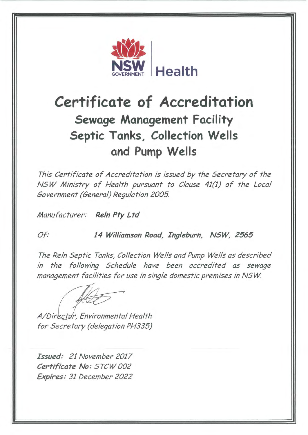

## **Certificate of Accreditation Sewage Management Facility Septic Tanks, Collection Wells and Pump Wells**

This Certificate of Accreditation is issued by the Secretary of the NSW Ministry of Health pursuant to Clause 41(1) of the Local Government (General) Regulation 2005.

Manufacturer: **ReIn Pty Ltd** 

Of: **14 Williamson Road, Ingleburn, NSW, 2565** 

The Reln Septic Tanks, Collection Wells and Pump Wells as described in the following Schedule have been accredited as sewage management facilities for use in single domestic premises in NSW

A/Director, Environmental Health for Secretary (delegation PH335)

**Issued:** 21 November 2017 **Certificate No:** STCW 002 **Expires:** 31 December 2022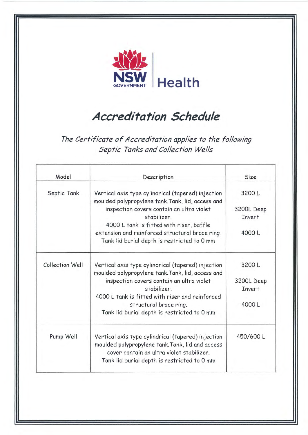

## **Accreditation Schedule**

The Certificate of Accreditation applies to the following Septic Tanks and Collection Wells

| Model           | Description                                                                                             | Size          |  |
|-----------------|---------------------------------------------------------------------------------------------------------|---------------|--|
| Septic Tank     | Vertical axis type cylindrical (tapered) injection<br>moulded polypropylene tank. Tank, lid, access and | 3200L         |  |
|                 | inspection covers contain an ultra violet                                                               | 3200L Deep    |  |
|                 | stabilizer.                                                                                             | Invert        |  |
|                 | 4000 L tank is fitted with riser, baffle                                                                |               |  |
|                 | extension and reinforced structural brace ring.<br>Tank lid burial depth is restricted to 0 mm          | 4000L         |  |
| Collection Well | Vertical axis type cylindrical (tapered) injection<br>moulded polypropylene tank. Tank, lid, access and | 3200L         |  |
|                 | inspection covers contain an ultra violet                                                               | 3200L Deep    |  |
|                 | stabilizer.                                                                                             | <b>Invert</b> |  |
|                 | 4000 L tank is fitted with riser and reinforced                                                         |               |  |
|                 | structural brace ring.                                                                                  | 4000L         |  |
|                 | Tank lid burial depth is restricted to 0 mm                                                             |               |  |
| Pump Well       | Vertical axis type cylindrical (tapered) injection<br>moulded polypropylene tank. Tank, lid and access  | 450/600L      |  |
|                 | cover contain an ultra violet stabilizer.<br>Tank lid burial depth is restricted to 0 mm                |               |  |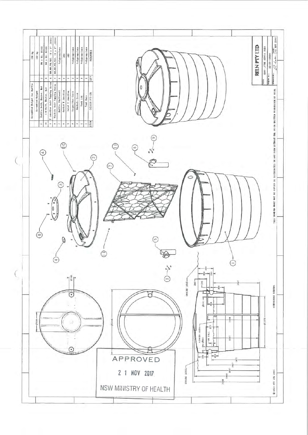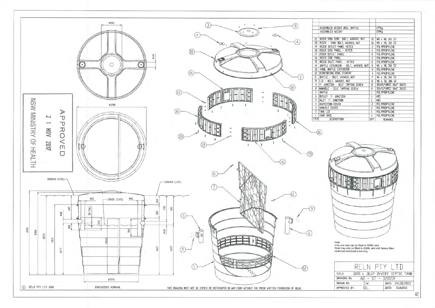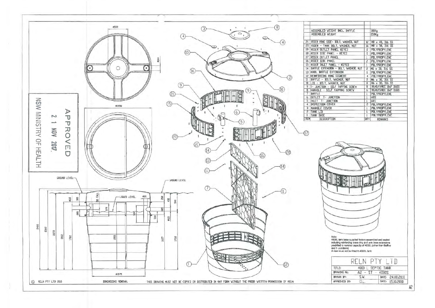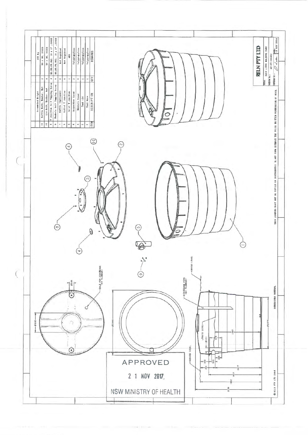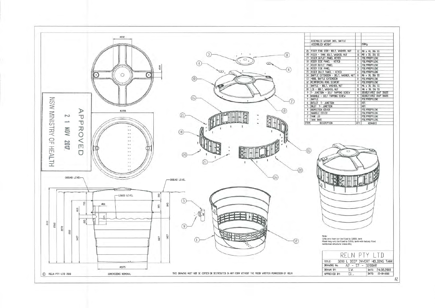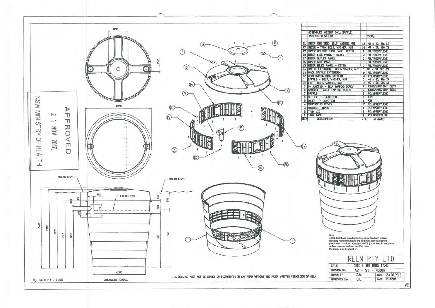